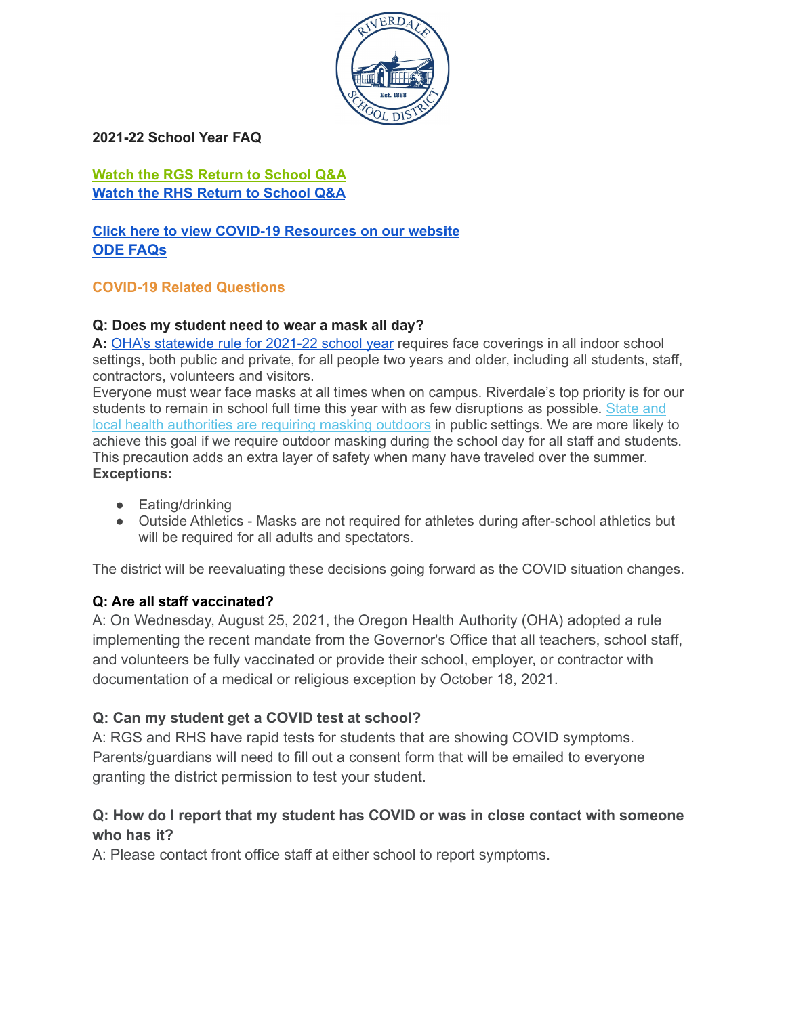

**2021-22 School Year FAQ**

**Watch the RGS Return to [School](https://www.youtube.com/watch?v=rYub8u5TS9k) Q&A Watch the RHS Return to [School](https://www.youtube.com/watch?v=GfkPlMGn51g) Q&A**

**Click here to view COVID-19 [Resources](https://www.riverdaleschool.com/Page/1601) on our website ODE [FAQs](https://www.oregon.gov/ode/students-and-family/healthsafety/Pages/COVID-19-FAQ.aspx)**

#### **COVID-19 Related Questions**

#### **Q: Does my student need to wear a mask all day?**

**A:** OHA's [statewide](https://lnks.gd/l/eyJhbGciOiJIUzI1NiJ9.eyJidWxsZXRpbl9saW5rX2lkIjoxMDMsInVyaSI6ImJwMjpjbGljayIsImJ1bGxldGluX2lkIjoiMjAyMTA4MjUuNDUwMDIzMDEiLCJ1cmwiOiJodHRwczovL2NvbnRlbnQuZ292ZGVsaXZlcnkuY29tL2FjY291bnRzL09SRUQvYnVsbGV0aW5zLzJlYjNiNmQifQ.JSJvAs6-6unMCHr6K9m_DoYQa6e1N4WLXRWAjGxFABQ/s/636547651/br/111362341306-l) rule for 2021-22 school year requires face coverings in all indoor school settings, both public and private, for all people two years and older, including all students, staff, contractors, volunteers and visitors.

Everyone must wear face masks at all times when on campus. Riverdale's top priority is for our students to remain in school full time this year with as few disruptions as possible. [State](https://t.e2ma.net/click/jft2gd/7dsnfdb/36341g) and local health [authorities](https://t.e2ma.net/click/jft2gd/7dsnfdb/36341g) are requiring masking outdoors in public settings. We are more likely to achieve this goal if we require outdoor masking during the school day for all staff and students. This precaution adds an extra layer of safety when many have traveled over the summer. **Exceptions:**

- Eating/drinking
- Outside Athletics Masks are not required for athletes during after-school athletics but will be required for all adults and spectators.

The district will be reevaluating these decisions going forward as the COVID situation changes.

#### **Q: Are all staff vaccinated?**

A: On Wednesday, August 25, 2021, the Oregon Health Authority (OHA) adopted a rule implementing the recent mandate from the Governor's Office that all teachers, school staff, and volunteers be fully vaccinated or provide their school, employer, or contractor with documentation of a medical or religious exception by October 18, 2021.

#### **Q: Can my student get a COVID test at school?**

A: RGS and RHS have rapid tests for students that are showing COVID symptoms. Parents/guardians will need to fill out a consent form that will be emailed to everyone granting the district permission to test your student.

#### **Q: How do I report that my student has COVID or was in close contact with someone who has it?**

A: Please contact front office staff at either school to report symptoms.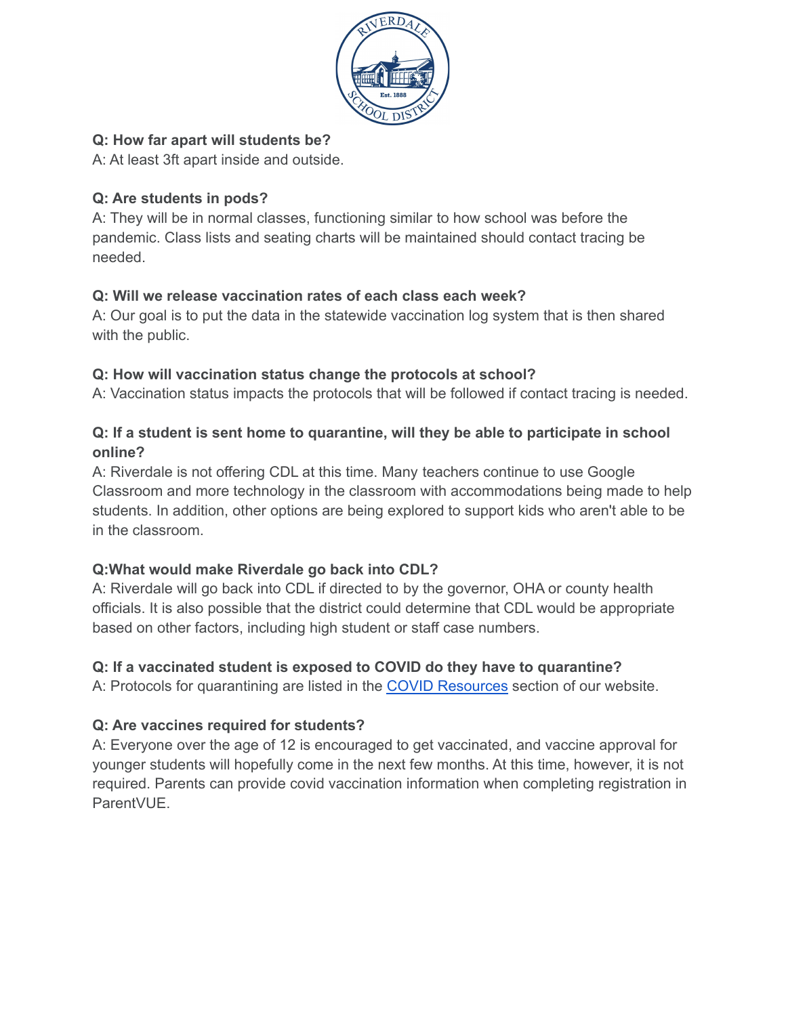

## **Q: How far apart will students be?**

A: At least 3ft apart inside and outside.

# **Q: Are students in pods?**

A: They will be in normal classes, functioning similar to how school was before the pandemic. Class lists and seating charts will be maintained should contact tracing be needed.

## **Q: Will we release vaccination rates of each class each week?**

A: Our goal is to put the data in the statewide vaccination log system that is then shared with the public.

## **Q: How will vaccination status change the protocols at school?**

A: Vaccination status impacts the protocols that will be followed if contact tracing is needed.

## **Q: If a student is sent home to quarantine, will they be able to participate in school online?**

A: Riverdale is not offering CDL at this time. Many teachers continue to use Google Classroom and more technology in the classroom with accommodations being made to help students. In addition, other options are being explored to support kids who aren't able to be in the classroom.

# **Q:What would make Riverdale go back into CDL?**

A: Riverdale will go back into CDL if directed to by the governor, OHA or county health officials. It is also possible that the district could determine that CDL would be appropriate based on other factors, including high student or staff case numbers.

# **Q: If a vaccinated student is exposed to COVID do they have to quarantine?**

A: Protocols for quarantining are listed in the COVID [Resources](https://www.riverdaleschool.com/Page/1601) section of our website.

# **Q: Are vaccines required for students?**

A: Everyone over the age of 12 is encouraged to get vaccinated, and vaccine approval for younger students will hopefully come in the next few months. At this time, however, it is not required. Parents can provide covid vaccination information when completing registration in **ParentVUE**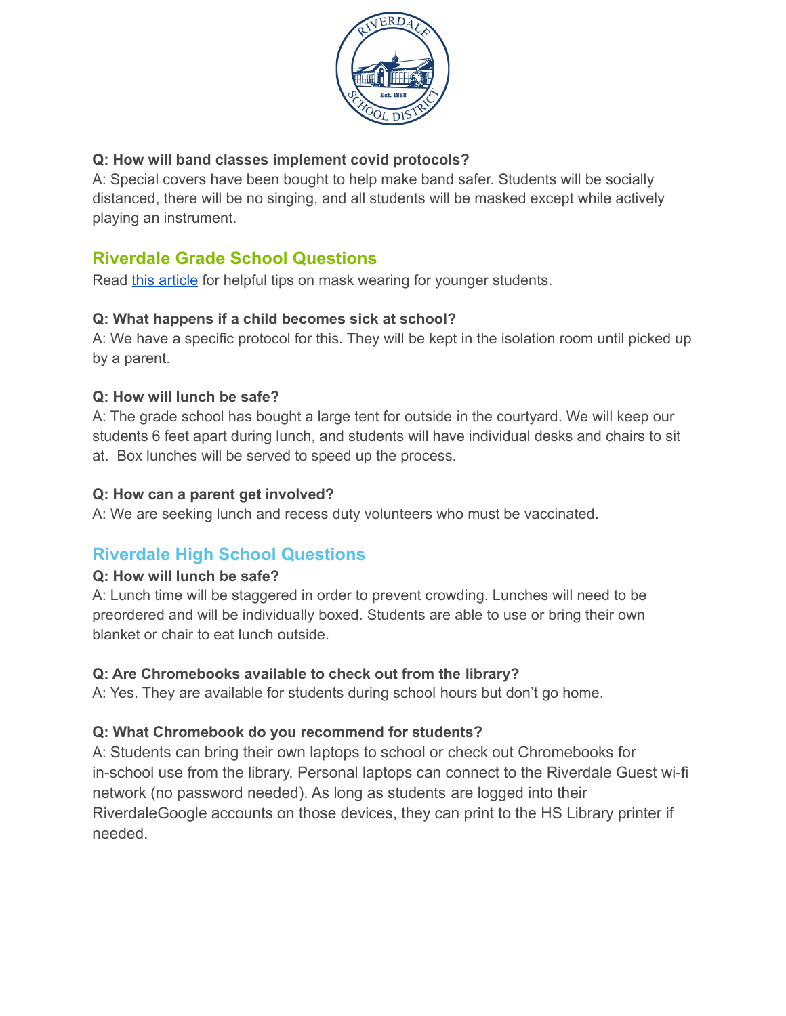

## **Q: How will band classes implement covid protocols?**

A: Special covers have been bought to help make band safer. Students will be socially distanced, there will be no singing, and all students will be masked except while actively playing an instrument.

# **Riverdale Grade School Questions**

Read this [article](https://www.healthychildren.org/English/health-issues/conditions/COVID-19/Pages/Cloth-Face-Coverings-for-Children-During-COVID-19.aspx) for helpful tips on mask wearing for younger students.

## **Q: What happens if a child becomes sick at school?**

A: We have a specific protocol for this. They will be kept in the isolation room until picked up by a parent.

## **Q: How will lunch be safe?**

A: The grade school has bought a large tent for outside in the courtyard. We will keep our students 6 feet apart during lunch, and students will have individual desks and chairs to sit at. Box lunches will be served to speed up the process.

## **Q: How can a parent get involved?**

A: We are seeking lunch and recess duty volunteers who must be vaccinated.

# **Riverdale High School Questions**

#### **Q: How will lunch be safe?**

A: Lunch time will be staggered in order to prevent crowding. Lunches will need to be preordered and will be individually boxed. Students are able to use or bring their own blanket or chair to eat lunch outside.

# **Q: Are Chromebooks available to check out from the library?**

A: Yes. They are available for students during school hours but don't go home.

# **Q: What Chromebook do you recommend for students?**

A: Students can bring their own laptops to school or check out Chromebooks for in-school use from the library. Personal laptops can connect to the Riverdale Guest wi-fi network (no password needed). As long as students are logged into their RiverdaleGoogle accounts on those devices, they can print to the HS Library printer if needed.